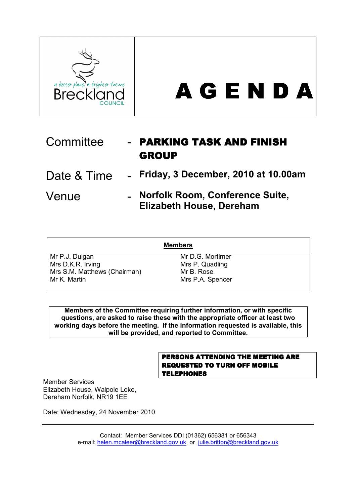



| Committee   | - PARKING TASK AND FINISH<br><b>GROUP</b>                            |
|-------------|----------------------------------------------------------------------|
| Date & Time | - Friday, 3 December, 2010 at 10.00am                                |
| Venue       | - Norfolk Room, Conference Suite,<br><b>Elizabeth House, Dereham</b> |

| <b>Members</b>               |                  |  |  |  |
|------------------------------|------------------|--|--|--|
| Mr P.J. Duigan               | Mr D.G. Mortimer |  |  |  |
| Mrs D.K.R. Irving            | Mrs P. Quadling  |  |  |  |
| Mrs S.M. Matthews (Chairman) | Mr B. Rose       |  |  |  |
| Mr K. Martin                 | Mrs P.A. Spencer |  |  |  |

Members of the Committee requiring further information, or with specific questions, are asked to raise these with the appropriate officer at least two working days before the meeting. If the information requested is available, this will be provided, and reported to Committee.

## PERSONS ATTENDING THE MEETING ARE REQUESTED TO TURN OFF MOBILE **TELEPHONES**

Member Services Elizabeth House, Walpole Loke, Dereham Norfolk, NR19 1EE

Date: Wednesday, 24 November 2010

Contact: Member Services DDI (01362) 656381 or 656343 e-mail: helen.mcaleer@breckland.gov.uk or julie.britton@breckland.gov.uk